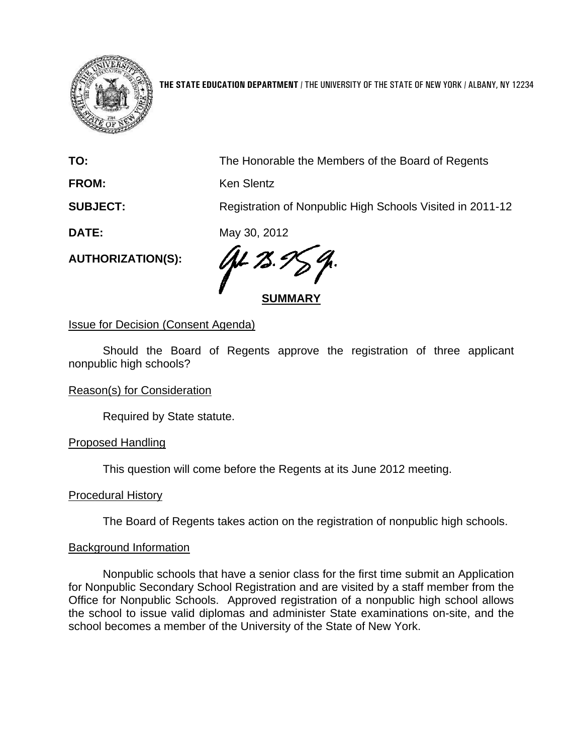

**THE STATE EDUCATION DEPARTMENT** / THE UNIVERSITY OF THE STATE OF NEW YORK / ALBANY, NY 12234

**TO:** The Honorable the Members of the Board of Regents

**FROM:** Ken Slentz

**SUBJECT:** Registration of Nonpublic High Schools Visited in 2011-12

**DATE:** May 30, 2012

**AUTHORIZATION(S):** 

**SUMMARY**

Issue for Decision (Consent Agenda)

Should the Board of Regents approve the registration of three applicant nonpublic high schools?

Reason(s) for Consideration

Required by State statute.

Proposed Handling

This question will come before the Regents at its June 2012 meeting.

Procedural History

The Board of Regents takes action on the registration of nonpublic high schools.

## Background Information

Nonpublic schools that have a senior class for the first time submit an Application for Nonpublic Secondary School Registration and are visited by a staff member from the Office for Nonpublic Schools. Approved registration of a nonpublic high school allows the school to issue valid diplomas and administer State examinations on-site, and the school becomes a member of the University of the State of New York.